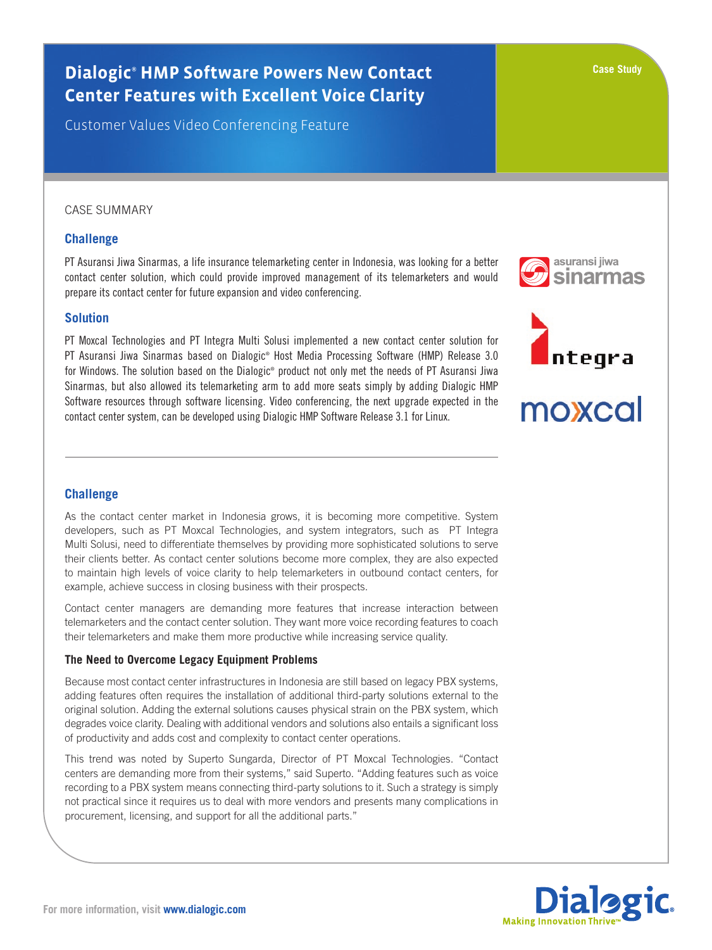# **Dialogic® HMP Software Powers New Contact Center Features with Excellent Voice Clarity**

Customer Values Video Conferencing Feature

# CASE SUMMARY

# **Challenge**

PT Asuransi Jiwa Sinarmas, a life insurance telemarketing center in Indonesia, was looking for a better contact center solution, which could provide improved management of its telemarketers and would prepare its contact center for future expansion and video conferencing.

### **Solution**

PT Moxcal Technologies and PT Integra Multi Solusi implemented a new contact center solution for PT Asuransi Jiwa Sinarmas based on Dialogic® Host Media Processing Software (HMP) Release 3.0 for Windows. The solution based on the Dialogic® product not only met the needs of PT Asuransi Jiwa Sinarmas, but also allowed its telemarketing arm to add more seats simply by adding Dialogic HMP Software resources through software licensing. Video conferencing, the next upgrade expected in the contact center system, can be developed using Dialogic HMP Software Release 3.1 for Linux.

# **Challenge**

As the contact center market in Indonesia grows, it is becoming more competitive. System developers, such as PT Moxcal Technologies, and system integrators, such as PT Integra Multi Solusi, need to differentiate themselves by providing more sophisticated solutions to serve their clients better. As contact center solutions become more complex, they are also expected to maintain high levels of voice clarity to help telemarketers in outbound contact centers, for example, achieve success in closing business with their prospects.

Contact center managers are demanding more features that increase interaction between telemarketers and the contact center solution. They want more voice recording features to coach their telemarketers and make them more productive while increasing service quality.

#### **The Need to Overcome Legacy Equipment Problems**

Because most contact center infrastructures in Indonesia are still based on legacy PBX systems, adding features often requires the installation of additional third-party solutions external to the original solution. Adding the external solutions causes physical strain on the PBX system, which degrades voice clarity. Dealing with additional vendors and solutions also entails a significant loss of productivity and adds cost and complexity to contact center operations.

This trend was noted by Superto Sungarda, Director of PT Moxcal Technologies. "Contact centers are demanding more from their systems," said Superto. "Adding features such as voice recording to a PBX system means connecting third-party solutions to it. Such a strategy is simply not practical since it requires us to deal with more vendors and presents many complications in procurement, licensing, and support for all the additional parts."







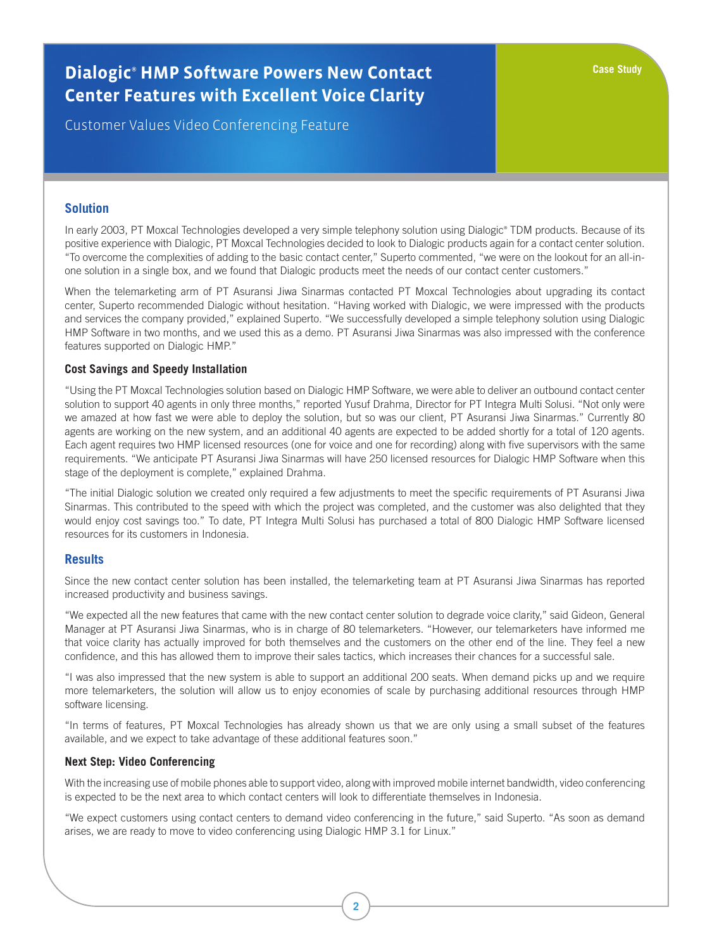# **Dialogic® HMP Software Powers New Contact Center Features with Excellent Voice Clarity**

Customer Values Video Conferencing Feature

### **Solution**

In early 2003, PT Moxcal Technologies developed a very simple telephony solution using Dialogic® TDM products. Because of its positive experience with Dialogic, PT Moxcal Technologies decided to look to Dialogic products again for a contact center solution. "To overcome the complexities of adding to the basic contact center," Superto commented, "we were on the lookout for an all-inone solution in a single box, and we found that Dialogic products meet the needs of our contact center customers."

When the telemarketing arm of PT Asuransi Jiwa Sinarmas contacted PT Moxcal Technologies about upgrading its contact center, Superto recommended Dialogic without hesitation. "Having worked with Dialogic, we were impressed with the products and services the company provided," explained Superto. "We successfully developed a simple telephony solution using Dialogic HMP Software in two months, and we used this as a demo. PT Asuransi Jiwa Sinarmas was also impressed with the conference features supported on Dialogic HMP."

#### **Cost Savings and Speedy Installation**

"Using the PT Moxcal Technologies solution based on Dialogic HMP Software, we were able to deliver an outbound contact center solution to support 40 agents in only three months," reported Yusuf Drahma, Director for PT Integra Multi Solusi. "Not only were we amazed at how fast we were able to deploy the solution, but so was our client, PT Asuransi Jiwa Sinarmas." Currently 80 agents are working on the new system, and an additional 40 agents are expected to be added shortly for a total of 120 agents. Each agent requires two HMP licensed resources (one for voice and one for recording) along with five supervisors with the same requirements. "We anticipate PT Asuransi Jiwa Sinarmas will have 250 licensed resources for Dialogic HMP Software when this stage of the deployment is complete," explained Drahma.

"The initial Dialogic solution we created only required a few adjustments to meet the specific requirements of PT Asuransi Jiwa Sinarmas. This contributed to the speed with which the project was completed, and the customer was also delighted that they would enjoy cost savings too." To date, PT Integra Multi Solusi has purchased a total of 800 Dialogic HMP Software licensed resources for its customers in Indonesia.

#### **Results**

Since the new contact center solution has been installed, the telemarketing team at PT Asuransi Jiwa Sinarmas has reported increased productivity and business savings.

"We expected all the new features that came with the new contact center solution to degrade voice clarity," said Gideon, General Manager at PT Asuransi Jiwa Sinarmas, who is in charge of 80 telemarketers. "However, our telemarketers have informed me that voice clarity has actually improved for both themselves and the customers on the other end of the line. They feel a new confidence, and this has allowed them to improve their sales tactics, which increases their chances for a successful sale.

"I was also impressed that the new system is able to support an additional 200 seats. When demand picks up and we require more telemarketers, the solution will allow us to enjoy economies of scale by purchasing additional resources through HMP software licensing.

"In terms of features, PT Moxcal Technologies has already shown us that we are only using a small subset of the features available, and we expect to take advantage of these additional features soon."

#### **Next Step: Video Conferencing**

With the increasing use of mobile phones able to support video, along with improved mobile internet bandwidth, video conferencing is expected to be the next area to which contact centers will look to differentiate themselves in Indonesia.

"We expect customers using contact centers to demand video conferencing in the future," said Superto. "As soon as demand arises, we are ready to move to video conferencing using Dialogic HMP 3.1 for Linux."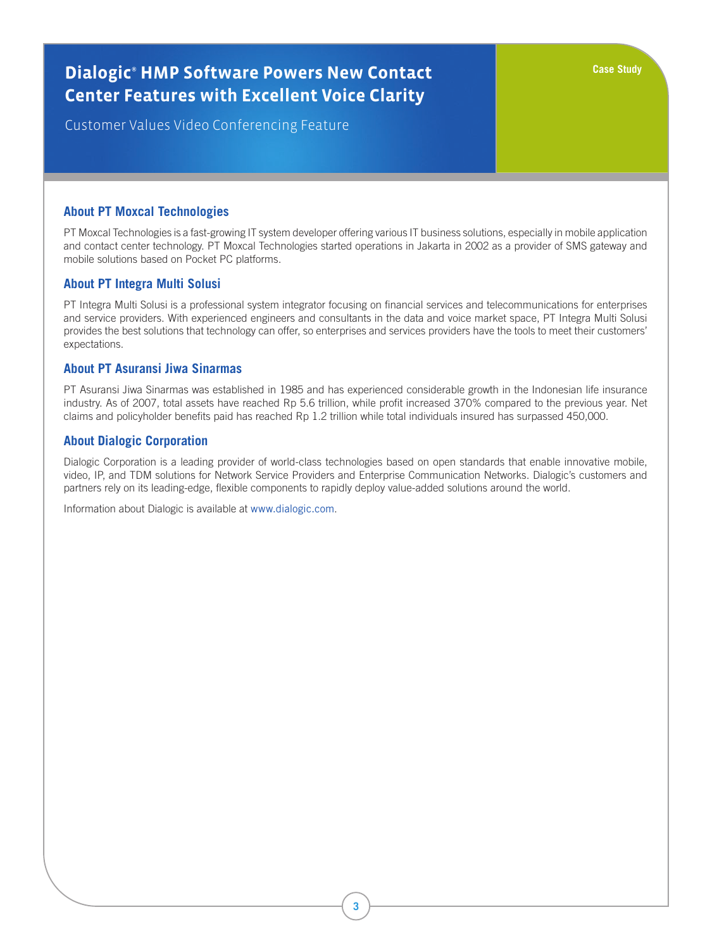# **Dialogic® HMP Software Powers New Contact Center Features with Excellent Voice Clarity**

Customer Values Video Conferencing Feature

# **About PT Moxcal Technologies**

PT Moxcal Technologies is a fast-growing IT system developer offering various IT business solutions, especially in mobile application and contact center technology. PT Moxcal Technologies started operations in Jakarta in 2002 as a provider of SMS gateway and mobile solutions based on Pocket PC platforms.

# **About PT Integra Multi Solusi**

PT Integra Multi Solusi is a professional system integrator focusing on financial services and telecommunications for enterprises and service providers. With experienced engineers and consultants in the data and voice market space, PT Integra Multi Solusi provides the best solutions that technology can offer, so enterprises and services providers have the tools to meet their customers' expectations.

# **About PT Asuransi Jiwa Sinarmas**

PT Asuransi Jiwa Sinarmas was established in 1985 and has experienced considerable growth in the Indonesian life insurance industry. As of 2007, total assets have reached Rp 5.6 trillion, while profit increased 370% compared to the previous year. Net claims and policyholder benefits paid has reached Rp 1.2 trillion while total individuals insured has surpassed 450,000.

# **About Dialogic Corporation**

Dialogic Corporation is a leading provider of world-class technologies based on open standards that enable innovative mobile, video, IP, and TDM solutions for Network Service Providers and Enterprise Communication Networks. Dialogic's customers and partners rely on its leading-edge, flexible components to rapidly deploy value-added solutions around the world.

Information about Dialogic is available at www.dialogic.com.

**Case Study**